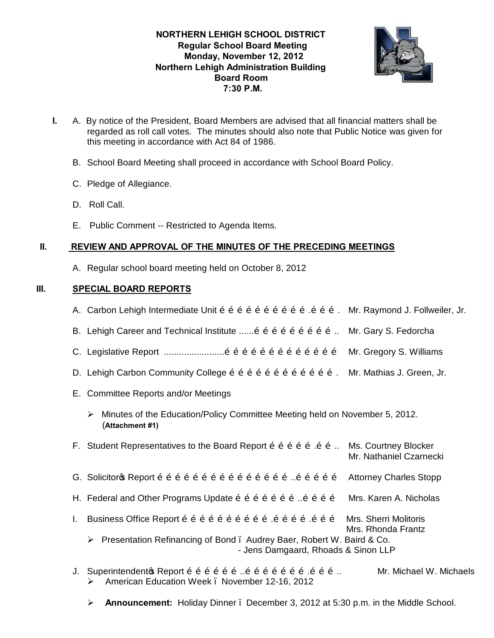## **NORTHERN LEHIGH SCHOOL DISTRICT Regular School Board Meeting Monday, November 12, 2012 Northern Lehigh Administration Building Board Room 7:30 P.M.**



- **I.** A. By notice of the President, Board Members are advised that all financial matters shall be regarded as roll call votes. The minutes should also note that Public Notice was given for this meeting in accordance with Act 84 of 1986.
	- B. School Board Meeting shall proceed in accordance with School Board Policy.
	- C. Pledge of Allegiance.
	- D. Roll Call.
	- E. Public Comment -- Restricted to Agenda Items.

## **II. REVIEW AND APPROVAL OF THE MINUTES OF THE PRECEDING MEETINGS**

A. Regular school board meeting held on October 8, 2012

## **III. SPECIAL BOARD REPORTS**

- A. Carbon Lehigh Intermediate Unit õ õ õ õ õ õ õ õ õ õ õ õ õ õ . Mr. Raymond J. Follweiler, Jr.
- B. Lehigh Career and Technical Institute  $\ldots$  on  $\tilde{0}$  on  $\tilde{0}$  on  $\tilde{0}$  on  $\tilde{0}$  on  $\ldots$  Mr. Gary S. Fedorcha
- C. Legislative Report ........................………………………………… Mr. Gregory S. Williams
- D. Lehigh Carbon Community College ………………………………. Mr. Mathias J. Green, Jr.
- E. Committee Reports and/or Meetings
	- $\triangleright$  Minutes of the Education/Policy Committee Meeting held on November 5, 2012. (**Attachment #1)**
- F. Student Representatives to the Board Report  $\delta$   $\delta$   $\delta$   $\delta$   $\delta$   $\delta$   $\delta$   $\ldots$  Ms. Courtney Blocker Mr. Nathaniel Czarnecki
- G. Solicitor's Report ………………………………………..…………… Attorney Charles Stopp
- H. Federal and Other Programs Update  $\tilde{0}$   $\tilde{0}$   $\tilde{0}$   $\tilde{0}$   $\tilde{0}$   $\tilde{0}$   $\tilde{0}$   $\tilde{0}$   $\tilde{0}$   $\tilde{0}$   $\tilde{0}$  Mrs. Karen A. Nicholas
- I. Business Office Report õ õ õ õ õ õ õ õ õ õ õ õ õ õ õ õ õ Õ Mrs. Sherri Molitoris Mrs. Rhonda Frantz ▶ Presentation Refinancing of Bond . Audrey Baer, Robert W. Baird & Co.

- Jens Damgaard, Rhoads & Sinon LLP

- J. Superintendentos Report õ õ õ õ õ õ õ õ õ õ õ õ õ õ õ õ õ õ … Mr. Michael W. Michaels ÿ American Education Week – November 12-16, 2012
	- ÿ **Announcement:** Holiday Dinner December 3, 2012 at 5:30 p.m. in the Middle School.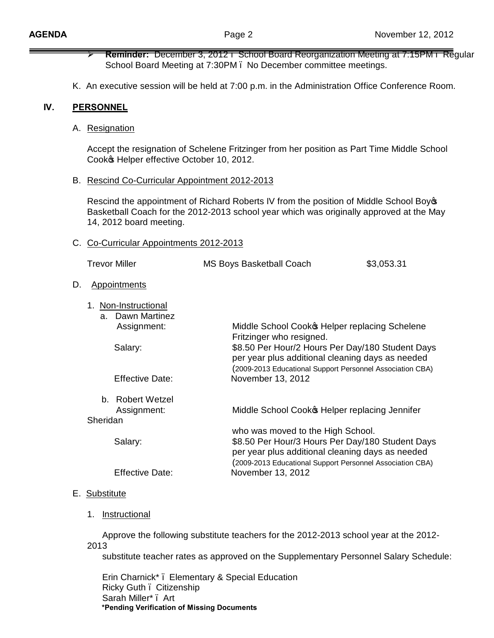- ÿ **Reminder:** December 3, 2012 School Board Reorganization Meeting at 7:15PM Regular School Board Meeting at 7:30PM – No December committee meetings.
- K. An executive session will be held at 7:00 p.m. in the Administration Office Conference Room.

#### **IV. PERSONNEL**

 $D<sub>1</sub>$ 

A. Resignation

Accept the resignation of Schelene Fritzinger from her position as Part Time Middle School Cooko Helper effective October 10, 2012.

B. Rescind Co-Curricular Appointment 2012-2013

Rescind the appointment of Richard Roberts IV from the position of Middle School Boy's Basketball Coach for the 2012-2013 school year which was originally approved at the May 14, 2012 board meeting.

#### C. Co-Curricular Appointments 2012-2013

|    | <b>Trevor Miller</b>                                       | <b>MS Boys Basketball Coach</b>                                                                                                                                   | \$3,053.31                                                                                         |  |
|----|------------------------------------------------------------|-------------------------------------------------------------------------------------------------------------------------------------------------------------------|----------------------------------------------------------------------------------------------------|--|
| D. | <b>Appointments</b>                                        |                                                                                                                                                                   |                                                                                                    |  |
|    | 1. Non-Instructional<br>Dawn Martinez<br>a.<br>Assignment: | Fritzinger who resigned.                                                                                                                                          | Middle School Cook & Helper replacing Schelene<br>\$8.50 Per Hour/2 Hours Per Day/180 Student Days |  |
|    | Salary:                                                    | per year plus additional cleaning days as needed<br>(2009-2013 Educational Support Personnel Association CBA)                                                     |                                                                                                    |  |
|    | <b>Effective Date:</b>                                     | November 13, 2012                                                                                                                                                 |                                                                                                    |  |
|    | Robert Wetzel<br>b.                                        |                                                                                                                                                                   |                                                                                                    |  |
|    | Assignment:<br>Sheridan                                    | Middle School Cook helper replacing Jennifer                                                                                                                      |                                                                                                    |  |
|    |                                                            | who was moved to the High School.                                                                                                                                 |                                                                                                    |  |
|    | Salary:                                                    | \$8.50 Per Hour/3 Hours Per Day/180 Student Days<br>per year plus additional cleaning days as needed<br>(2009-2013 Educational Support Personnel Association CBA) |                                                                                                    |  |
|    | <b>Effective Date:</b>                                     | November 13, 2012                                                                                                                                                 |                                                                                                    |  |

### E. Substitute

1. Instructional

 Approve the following substitute teachers for the 2012-2013 school year at the 2012- 2013

substitute teacher rates as approved on the Supplementary Personnel Salary Schedule:

 Erin Charnick\* – Elementary & Special Education Ricky Guth – Citizenship Sarah Miller\* – Art **\*Pending Verification of Missing Documents**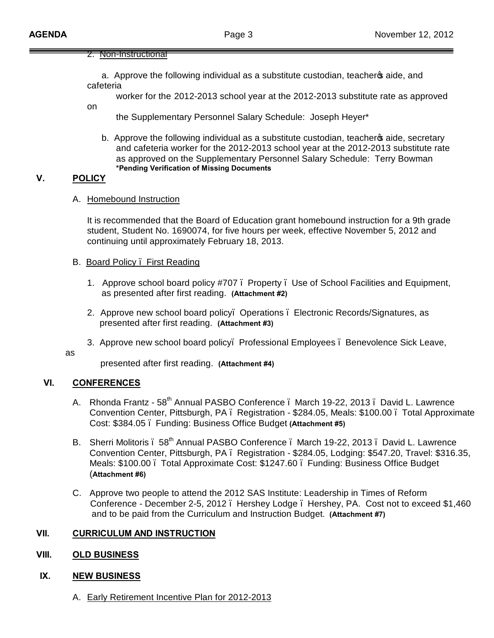#### 2. Non-Instructional

a. Approve the following individual as a substitute custodian, teachero aide, and cafeteria

worker for the 2012-2013 school year at the 2012-2013 substitute rate as approved

the Supplementary Personnel Salary Schedule: Joseph Heyer\*

b. Approve the following individual as a substitute custodian, teacheros aide, secretary and cafeteria worker for the 2012-2013 school year at the 2012-2013 substitute rate as approved on the Supplementary Personnel Salary Schedule: Terry Bowman **\*Pending Verification of Missing Documents**

## **V. POLICY**

on

#### A. Homebound Instruction

It is recommended that the Board of Education grant homebound instruction for a 9th grade student, Student No. 1690074, for five hours per week, effective November 5, 2012 and continuing until approximately February 18, 2013.

#### B. Board Policy – First Reading

- 1. Approve school board policy #707 Property Use of School Facilities and Equipment, as presented after first reading. **(Attachment #2)**
- 2. Approve new school board policy– Operations Electronic Records/Signatures, as presented after first reading. **(Attachment #3)**
- 3. Approve new school board policy– Professional Employees Benevolence Sick Leave,

as

presented after first reading. **(Attachment #4)**

### **VI. CONFERENCES**

- A. Rhonda Frantz 58<sup>th</sup> Annual PASBO Conference . March 19-22, 2013 . David L. Lawrence Convention Center, Pittsburgh, PA – Registration - \$284.05, Meals: \$100.00 – Total Approximate Cost: \$384.05 – Funding: Business Office Budget **(Attachment #5)**
- B. Sherri Molitoris . 58<sup>th</sup> Annual PASBO Conference . March 19-22, 2013 . David L. Lawrence Convention Center, Pittsburgh, PA – Registration - \$284.05, Lodging: \$547.20, Travel: \$316.35, Meals: \$100.00 – Total Approximate Cost: \$1247.60 – Funding: Business Office Budget (**Attachment #6)**
- C. Approve two people to attend the 2012 SAS Institute: Leadership in Times of Reform Conference - December 2-5, 2012. Hershey Lodge. Hershey, PA. Cost not to exceed \$1,460 and to be paid from the Curriculum and Instruction Budget. **(Attachment #7)**

## **VII. CURRICULUM AND INSTRUCTION**

### **VIII. OLD BUSINESS**

### **IX. NEW BUSINESS**

A. Early Retirement Incentive Plan for 2012-2013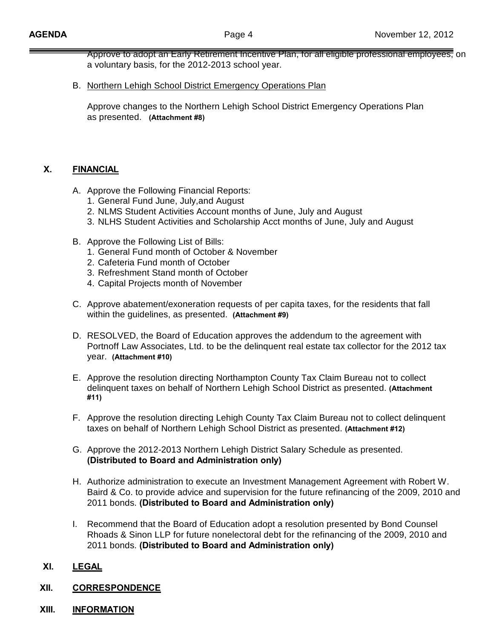Approve to adopt an Early Retirement Incentive Plan, for all eligible professional employees, on a voluntary basis, for the 2012-2013 school year.

B. Northern Lehigh School District Emergency Operations Plan

Approve changes to the Northern Lehigh School District Emergency Operations Plan as presented. **(Attachment #8)**

## **X. FINANCIAL**

- A. Approve the Following Financial Reports:
	- 1. General Fund June, July,and August
	- 2. NLMS Student Activities Account months of June, July and August
	- 3. NLHS Student Activities and Scholarship Acct months of June, July and August
- B. Approve the Following List of Bills:
	- 1. General Fund month of October & November
	- 2. Cafeteria Fund month of October
	- 3. Refreshment Stand month of October
	- 4. Capital Projects month of November
- C. Approve abatement/exoneration requests of per capita taxes, for the residents that fall within the guidelines, as presented. **(Attachment #9)**
- D. RESOLVED, the Board of Education approves the addendum to the agreement with Portnoff Law Associates, Ltd. to be the delinquent real estate tax collector for the 2012 tax year. **(Attachment #10)**
- E. Approve the resolution directing Northampton County Tax Claim Bureau not to collect delinquent taxes on behalf of Northern Lehigh School District as presented. **(Attachment #11)**
- F. Approve the resolution directing Lehigh County Tax Claim Bureau not to collect delinquent taxes on behalf of Northern Lehigh School District as presented. **(Attachment #12)**
- G. Approve the 2012-2013 Northern Lehigh District Salary Schedule as presented. **(Distributed to Board and Administration only)**
- H. Authorize administration to execute an Investment Management Agreement with Robert W. Baird & Co. to provide advice and supervision for the future refinancing of the 2009, 2010 and 2011 bonds. **(Distributed to Board and Administration only)**
- I. Recommend that the Board of Education adopt a resolution presented by Bond Counsel Rhoads & Sinon LLP for future nonelectoral debt for the refinancing of the 2009, 2010 and 2011 bonds. **(Distributed to Board and Administration only)**

### **XI. LEGAL**

- **XII. CORRESPONDENCE**
- **XIII. INFORMATION**